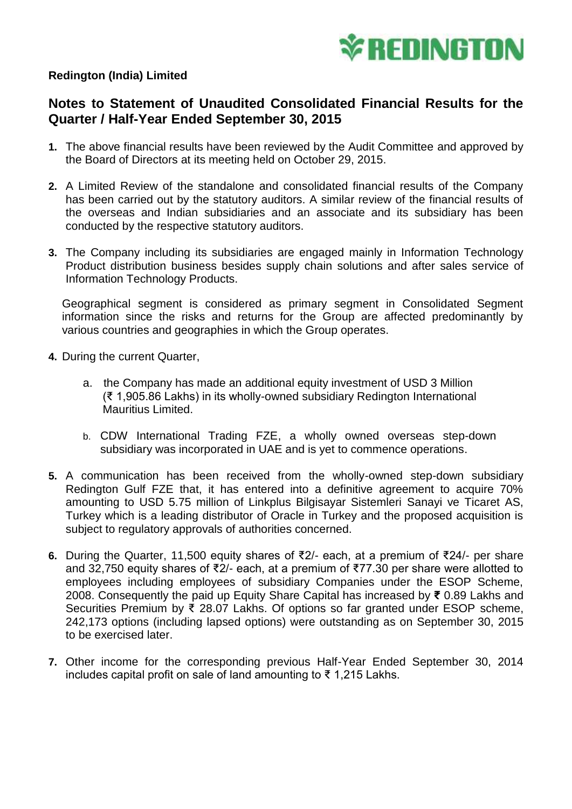

## **Redington (India) Limited**

## **Notes to Statement of Unaudited Consolidated Financial Results for the Quarter / Half-Year Ended September 30, 2015**

- **1.** The above financial results have been reviewed by the Audit Committee and approved by the Board of Directors at its meeting held on October 29, 2015.
- **2.** A Limited Review of the standalone and consolidated financial results of the Company has been carried out by the statutory auditors. A similar review of the financial results of the overseas and Indian subsidiaries and an associate and its subsidiary has been conducted by the respective statutory auditors.
- **3.** The Company including its subsidiaries are engaged mainly in Information Technology Product distribution business besides supply chain solutions and after sales service of Information Technology Products.

Geographical segment is considered as primary segment in Consolidated Segment information since the risks and returns for the Group are affected predominantly by various countries and geographies in which the Group operates.

- **4.** During the current Quarter,
	- a. the Company has made an additional equity investment of USD 3 Million (₹ 1,905.86 Lakhs) in its wholly-owned subsidiary Redington International Mauritius Limited.
	- b. CDW International Trading FZE, a wholly owned overseas step-down subsidiary was incorporated in UAE and is yet to commence operations.
- **5.** A communication has been received from the wholly-owned step-down subsidiary Redington Gulf FZE that, it has entered into a definitive agreement to acquire 70% amounting to USD 5.75 million of Linkplus Bilgisayar Sistemleri Sanayi ve Ticaret AS, Turkey which is a leading distributor of Oracle in Turkey and the proposed acquisition is subject to regulatory approvals of authorities concerned.
- **6.** During the Quarter, 11,500 equity shares of ₹2/- each, at a premium of ₹24/- per share and 32,750 equity shares of ₹2/- each, at a premium of ₹77.30 per share were allotted to employees including employees of subsidiary Companies under the ESOP Scheme, 2008. Consequently the paid up Equity Share Capital has increased by **₹** 0.89 Lakhs and Securities Premium by ₹ 28.07 Lakhs. Of options so far granted under ESOP scheme, 242,173 options (including lapsed options) were outstanding as on September 30, 2015 to be exercised later.
- **7.** Other income for the corresponding previous Half-Year Ended September 30, 2014 includes capital profit on sale of land amounting to ₹ 1,215 Lakhs.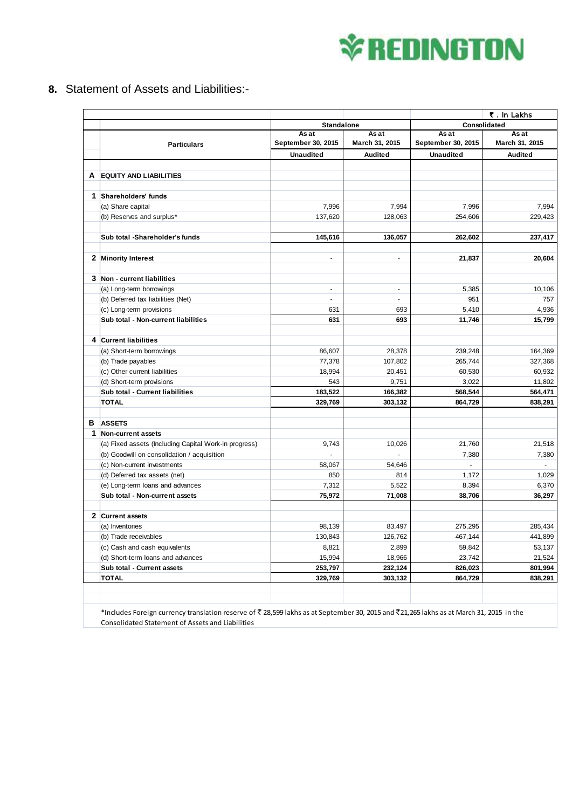## **V**\*REDINGTON

**8.** Statement of Assets and Liabilities:-

|              |                                                                                                                                         |                             |                         | ₹. In Lakhs                 |                         |
|--------------|-----------------------------------------------------------------------------------------------------------------------------------------|-----------------------------|-------------------------|-----------------------------|-------------------------|
|              |                                                                                                                                         | <b>Standalone</b>           |                         | Consolidated                |                         |
|              | <b>Particulars</b>                                                                                                                      | As at<br>September 30, 2015 | As at<br>March 31, 2015 | As at<br>September 30, 2015 | As at<br>March 31, 2015 |
|              |                                                                                                                                         | <b>Unaudited</b>            | Audited                 | <b>Unaudited</b>            | Audited                 |
|              |                                                                                                                                         |                             |                         |                             |                         |
| А            | <b>EQUITY AND LIABILITIES</b>                                                                                                           |                             |                         |                             |                         |
|              |                                                                                                                                         |                             |                         |                             |                         |
| 1            | Shareholders' funds                                                                                                                     |                             |                         |                             |                         |
|              | (a) Share capital                                                                                                                       | 7,996                       | 7,994                   | 7,996                       | 7,994                   |
|              | (b) Reserves and surplus*                                                                                                               | 137,620                     | 128,063                 | 254,606                     | 229,423                 |
|              |                                                                                                                                         |                             |                         |                             |                         |
|              | Sub total -Shareholder's funds                                                                                                          | 145,616                     | 136,057                 | 262,602                     | 237,417                 |
|              |                                                                                                                                         |                             |                         |                             |                         |
| 2            | <b>Minority Interest</b>                                                                                                                | $\blacksquare$              | ÷.                      | 21,837                      | 20,604                  |
|              |                                                                                                                                         |                             |                         |                             |                         |
| 3            | Non - current liabilities                                                                                                               |                             |                         |                             |                         |
|              | (a) Long-term borrowings                                                                                                                | $\blacksquare$              | ÷.                      | 5,385                       | 10,106                  |
|              | (b) Deferred tax liabilities (Net)                                                                                                      | $\overline{\phantom{a}}$    | $\blacksquare$          | 951                         | 757                     |
|              | (c) Long-term provisions                                                                                                                | 631                         | 693                     | 5,410                       | 4,936                   |
|              | Sub total - Non-current liabilities                                                                                                     | 631                         | 693                     | 11,746                      | 15,799                  |
|              |                                                                                                                                         |                             |                         |                             |                         |
| 4            | <b>Current liabilities</b>                                                                                                              |                             |                         |                             |                         |
|              | (a) Short-term borrowings                                                                                                               | 86,607                      | 28,378                  | 239,248                     | 164,369                 |
|              | (b) Trade payables                                                                                                                      | 77,378                      | 107,802                 | 265,744                     | 327,368                 |
|              | (c) Other current liabilities                                                                                                           | 18,994                      | 20,451                  | 60,530                      | 60,932                  |
|              | (d) Short-term provisions                                                                                                               | 543                         | 9,751                   | 3,022                       | 11,802                  |
|              | Sub total - Current liabilities                                                                                                         | 183,522                     | 166,382                 | 568,544                     | 564,471                 |
|              | <b>TOTAL</b>                                                                                                                            | 329,769                     | 303,132                 | 864,729                     | 838,291                 |
|              |                                                                                                                                         |                             |                         |                             |                         |
| в            | <b>ASSETS</b>                                                                                                                           |                             |                         |                             |                         |
| 1            | Non-current assets                                                                                                                      |                             |                         |                             |                         |
|              | (a) Fixed assets (Including Capital Work-in progress)                                                                                   | 9,743                       | 10,026                  | 21,760                      | 21,518                  |
|              | (b) Goodwill on consolidation / acquisition                                                                                             |                             |                         | 7,380                       | 7,380                   |
|              | (c) Non-current investments                                                                                                             | 58,067                      | 54,646                  | $\omega$                    | $\sim$                  |
|              | (d) Deferred tax assets (net)                                                                                                           | 850                         | 814                     | 1,172                       | 1,029                   |
|              | (e) Long-term loans and advances                                                                                                        | 7,312                       | 5,522                   | 8,394                       | 6,370                   |
|              | Sub total - Non-current assets                                                                                                          | 75,972                      | 71,008                  | 38,706                      | 36,297                  |
|              |                                                                                                                                         |                             |                         |                             |                         |
| $\mathbf{2}$ | <b>Current assets</b>                                                                                                                   |                             |                         |                             |                         |
|              | (a) Inventories                                                                                                                         | 98,139                      | 83,497                  | 275,295                     | 285,434                 |
|              | (b) Trade receivables                                                                                                                   | 130,843                     | 126,762                 | 467,144                     | 441,899                 |
|              | (c) Cash and cash equivalents                                                                                                           | 8,821                       | 2,899                   | 59,842                      | 53,137                  |
|              | (d) Short-term loans and advances                                                                                                       | 15,994                      | 18,966                  | 23,742                      | 21,524                  |
|              | Sub total - Current assets                                                                                                              | 253,797                     | 232,124                 | 826,023                     | 801,994                 |
|              | <b>TOTAL</b>                                                                                                                            | 329,769                     | 303,132                 | 864,729                     | 838,291                 |
|              |                                                                                                                                         |                             |                         |                             |                         |
|              |                                                                                                                                         |                             |                         |                             |                         |
|              | *Includes Foreign currency translation reserve of ₹ 28,599 lakhs as at September 30, 2015 and ₹21,265 lakhs as at March 31, 2015 in the |                             |                         |                             |                         |

Consolidated Statement of Assets and Liabilities